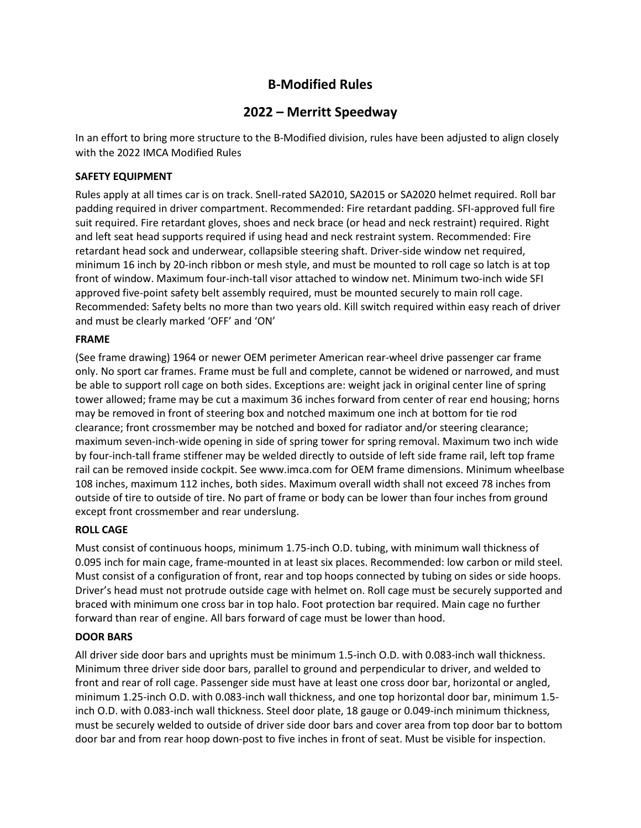# **B-Modified Rules**

# **2022 – Merritt Speedway**

In an effort to bring more structure to the B-Modified division, rules have been adjusted to align closely with the 2022 IMCA Modified Rules

### **SAFETY EQUIPMENT**

Rules apply at all times car is on track. Snell-rated SA2010, SA2015 or SA2020 helmet required. Roll bar padding required in driver compartment. Recommended: Fire retardant padding. SFI-approved full fire suit required. Fire retardant gloves, shoes and neck brace (or head and neck restraint) required. Right and left seat head supports required if using head and neck restraint system. Recommended: Fire retardant head sock and underwear, collapsible steering shaft. Driver-side window net required, minimum 16 inch by 20-inch ribbon or mesh style, and must be mounted to roll cage so latch is at top front of window. Maximum four-inch-tall visor attached to window net. Minimum two-inch wide SFI approved five-point safety belt assembly required, must be mounted securely to main roll cage. Recommended: Safety belts no more than two years old. Kill switch required within easy reach of driver and must be clearly marked 'OFF' and 'ON'

#### **FRAME**

(See frame drawing) 1964 or newer OEM perimeter American rear-wheel drive passenger car frame only. No sport car frames. Frame must be full and complete, cannot be widened or narrowed, and must be able to support roll cage on both sides. Exceptions are: weight jack in original center line of spring tower allowed; frame may be cut a maximum 36 inches forward from center of rear end housing; horns may be removed in front of steering box and notched maximum one inch at bottom for tie rod clearance; front crossmember may be notched and boxed for radiator and/or steering clearance; maximum seven-inch-wide opening in side of spring tower for spring removal. Maximum two inch wide by four-inch-tall frame stiffener may be welded directly to outside of left side frame rail, left top frame rail can be removed inside cockpit. See www.imca.com for OEM frame dimensions. Minimum wheelbase 108 inches, maximum 112 inches, both sides. Maximum overall width shall not exceed 78 inches from outside of tire to outside of tire. No part of frame or body can be lower than four inches from ground except front crossmember and rear underslung.

#### **ROLL CAGE**

Must consist of continuous hoops, minimum 1.75-inch O.D. tubing, with minimum wall thickness of 0.095 inch for main cage, frame-mounted in at least six places. Recommended: low carbon or mild steel. Must consist of a configuration of front, rear and top hoops connected by tubing on sides or side hoops. Driver's head must not protrude outside cage with helmet on. Roll cage must be securely supported and braced with minimum one cross bar in top halo. Foot protection bar required. Main cage no further forward than rear of engine. All bars forward of cage must be lower than hood.

# **DOOR BARS**

All driver side door bars and uprights must be minimum 1.5-inch O.D. with 0.083-inch wall thickness. Minimum three driver side door bars, parallel to ground and perpendicular to driver, and welded to front and rear of roll cage. Passenger side must have at least one cross door bar, horizontal or angled, minimum 1.25-inch O.D. with 0.083-inch wall thickness, and one top horizontal door bar, minimum 1.5 inch O.D. with 0.083-inch wall thickness. Steel door plate, 18 gauge or 0.049-inch minimum thickness, must be securely welded to outside of driver side door bars and cover area from top door bar to bottom door bar and from rear hoop down-post to five inches in front of seat. Must be visible for inspection.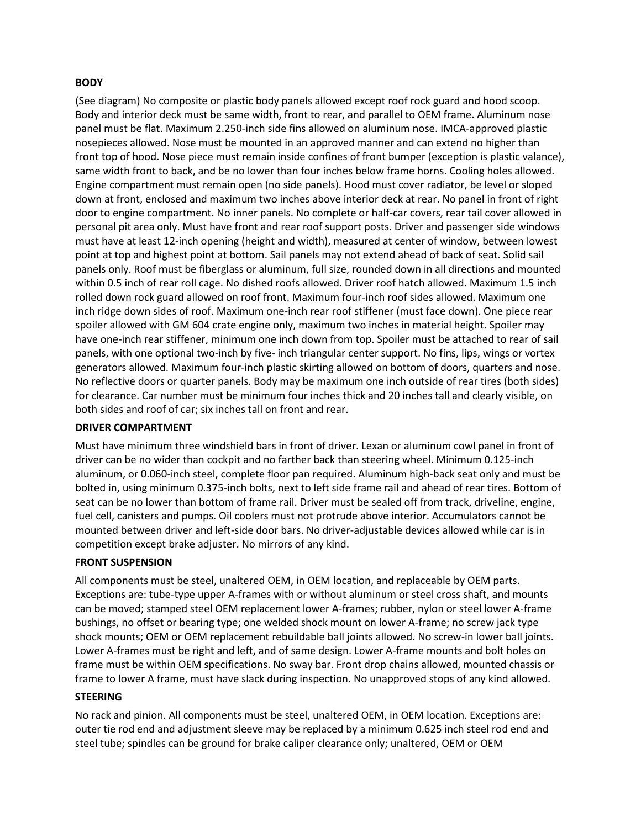#### **BODY**

(See diagram) No composite or plastic body panels allowed except roof rock guard and hood scoop. Body and interior deck must be same width, front to rear, and parallel to OEM frame. Aluminum nose panel must be flat. Maximum 2.250-inch side fins allowed on aluminum nose. IMCA-approved plastic nosepieces allowed. Nose must be mounted in an approved manner and can extend no higher than front top of hood. Nose piece must remain inside confines of front bumper (exception is plastic valance), same width front to back, and be no lower than four inches below frame horns. Cooling holes allowed. Engine compartment must remain open (no side panels). Hood must cover radiator, be level or sloped down at front, enclosed and maximum two inches above interior deck at rear. No panel in front of right door to engine compartment. No inner panels. No complete or half-car covers, rear tail cover allowed in personal pit area only. Must have front and rear roof support posts. Driver and passenger side windows must have at least 12-inch opening (height and width), measured at center of window, between lowest point at top and highest point at bottom. Sail panels may not extend ahead of back of seat. Solid sail panels only. Roof must be fiberglass or aluminum, full size, rounded down in all directions and mounted within 0.5 inch of rear roll cage. No dished roofs allowed. Driver roof hatch allowed. Maximum 1.5 inch rolled down rock guard allowed on roof front. Maximum four-inch roof sides allowed. Maximum one inch ridge down sides of roof. Maximum one-inch rear roof stiffener (must face down). One piece rear spoiler allowed with GM 604 crate engine only, maximum two inches in material height. Spoiler may have one-inch rear stiffener, minimum one inch down from top. Spoiler must be attached to rear of sail panels, with one optional two-inch by five- inch triangular center support. No fins, lips, wings or vortex generators allowed. Maximum four-inch plastic skirting allowed on bottom of doors, quarters and nose. No reflective doors or quarter panels. Body may be maximum one inch outside of rear tires (both sides) for clearance. Car number must be minimum four inches thick and 20 inches tall and clearly visible, on both sides and roof of car; six inches tall on front and rear.

#### **DRIVER COMPARTMENT**

Must have minimum three windshield bars in front of driver. Lexan or aluminum cowl panel in front of driver can be no wider than cockpit and no farther back than steering wheel. Minimum 0.125-inch aluminum, or 0.060-inch steel, complete floor pan required. Aluminum high-back seat only and must be bolted in, using minimum 0.375-inch bolts, next to left side frame rail and ahead of rear tires. Bottom of seat can be no lower than bottom of frame rail. Driver must be sealed off from track, driveline, engine, fuel cell, canisters and pumps. Oil coolers must not protrude above interior. Accumulators cannot be mounted between driver and left-side door bars. No driver-adjustable devices allowed while car is in competition except brake adjuster. No mirrors of any kind.

#### **FRONT SUSPENSION**

All components must be steel, unaltered OEM, in OEM location, and replaceable by OEM parts. Exceptions are: tube-type upper A-frames with or without aluminum or steel cross shaft, and mounts can be moved; stamped steel OEM replacement lower A-frames; rubber, nylon or steel lower A-frame bushings, no offset or bearing type; one welded shock mount on lower A-frame; no screw jack type shock mounts; OEM or OEM replacement rebuildable ball joints allowed. No screw-in lower ball joints. Lower A-frames must be right and left, and of same design. Lower A-frame mounts and bolt holes on frame must be within OEM specifications. No sway bar. Front drop chains allowed, mounted chassis or frame to lower A frame, must have slack during inspection. No unapproved stops of any kind allowed.

#### **STEERING**

No rack and pinion. All components must be steel, unaltered OEM, in OEM location. Exceptions are: outer tie rod end and adjustment sleeve may be replaced by a minimum 0.625 inch steel rod end and steel tube; spindles can be ground for brake caliper clearance only; unaltered, OEM or OEM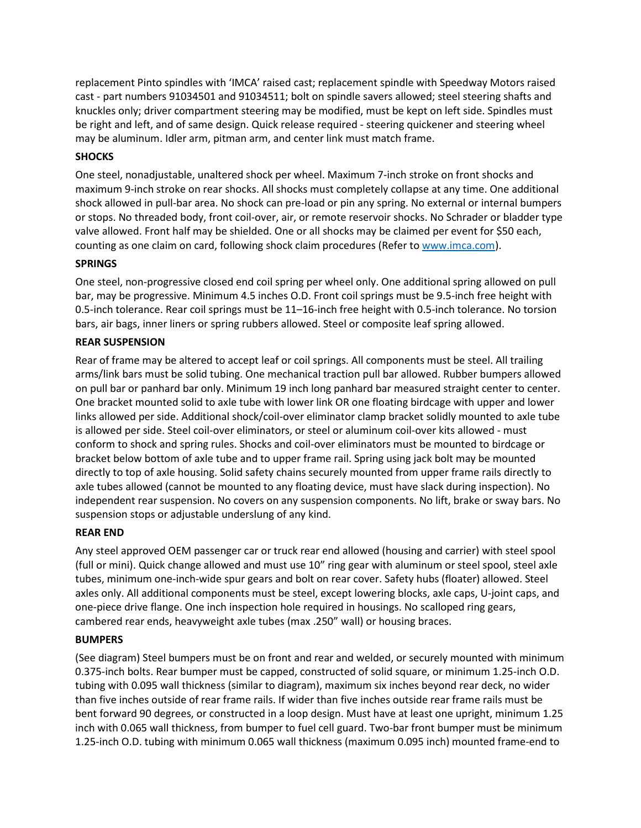replacement Pinto spindles with 'IMCA' raised cast; replacement spindle with Speedway Motors raised cast - part numbers 91034501 and 91034511; bolt on spindle savers allowed; steel steering shafts and knuckles only; driver compartment steering may be modified, must be kept on left side. Spindles must be right and left, and of same design. Quick release required - steering quickener and steering wheel may be aluminum. Idler arm, pitman arm, and center link must match frame.

#### **SHOCKS**

One steel, nonadjustable, unaltered shock per wheel. Maximum 7-inch stroke on front shocks and maximum 9-inch stroke on rear shocks. All shocks must completely collapse at any time. One additional shock allowed in pull-bar area. No shock can pre-load or pin any spring. No external or internal bumpers or stops. No threaded body, front coil-over, air, or remote reservoir shocks. No Schrader or bladder type valve allowed. Front half may be shielded. One or all shocks may be claimed per event for \$50 each, counting as one claim on card, following shock claim procedures (Refer to [www.imca.com\)](http://www.imca.com/).

### **SPRINGS**

One steel, non-progressive closed end coil spring per wheel only. One additional spring allowed on pull bar, may be progressive. Minimum 4.5 inches O.D. Front coil springs must be 9.5-inch free height with 0.5-inch tolerance. Rear coil springs must be 11–16-inch free height with 0.5-inch tolerance. No torsion bars, air bags, inner liners or spring rubbers allowed. Steel or composite leaf spring allowed.

### **REAR SUSPENSION**

Rear of frame may be altered to accept leaf or coil springs. All components must be steel. All trailing arms/link bars must be solid tubing. One mechanical traction pull bar allowed. Rubber bumpers allowed on pull bar or panhard bar only. Minimum 19 inch long panhard bar measured straight center to center. One bracket mounted solid to axle tube with lower link OR one floating birdcage with upper and lower links allowed per side. Additional shock/coil-over eliminator clamp bracket solidly mounted to axle tube is allowed per side. Steel coil-over eliminators, or steel or aluminum coil-over kits allowed - must conform to shock and spring rules. Shocks and coil-over eliminators must be mounted to birdcage or bracket below bottom of axle tube and to upper frame rail. Spring using jack bolt may be mounted directly to top of axle housing. Solid safety chains securely mounted from upper frame rails directly to axle tubes allowed (cannot be mounted to any floating device, must have slack during inspection). No independent rear suspension. No covers on any suspension components. No lift, brake or sway bars. No suspension stops or adjustable underslung of any kind.

# **REAR END**

Any steel approved OEM passenger car or truck rear end allowed (housing and carrier) with steel spool (full or mini). Quick change allowed and must use 10" ring gear with aluminum or steel spool, steel axle tubes, minimum one-inch-wide spur gears and bolt on rear cover. Safety hubs (floater) allowed. Steel axles only. All additional components must be steel, except lowering blocks, axle caps, U-joint caps, and one-piece drive flange. One inch inspection hole required in housings. No scalloped ring gears, cambered rear ends, heavyweight axle tubes (max .250" wall) or housing braces.

# **BUMPERS**

(See diagram) Steel bumpers must be on front and rear and welded, or securely mounted with minimum 0.375-inch bolts. Rear bumper must be capped, constructed of solid square, or minimum 1.25-inch O.D. tubing with 0.095 wall thickness (similar to diagram), maximum six inches beyond rear deck, no wider than five inches outside of rear frame rails. If wider than five inches outside rear frame rails must be bent forward 90 degrees, or constructed in a loop design. Must have at least one upright, minimum 1.25 inch with 0.065 wall thickness, from bumper to fuel cell guard. Two-bar front bumper must be minimum 1.25-inch O.D. tubing with minimum 0.065 wall thickness (maximum 0.095 inch) mounted frame-end to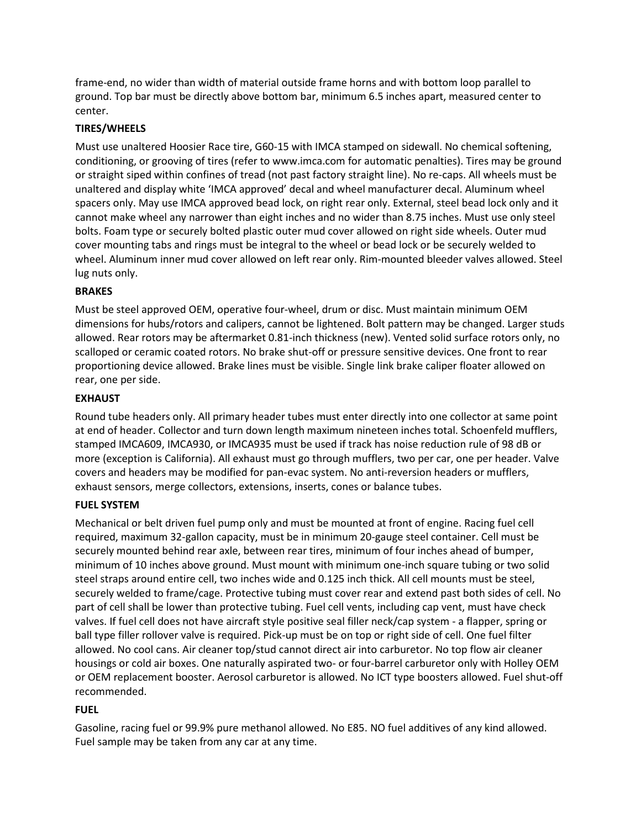frame-end, no wider than width of material outside frame horns and with bottom loop parallel to ground. Top bar must be directly above bottom bar, minimum 6.5 inches apart, measured center to center.

### **TIRES/WHEELS**

Must use unaltered Hoosier Race tire, G60-15 with IMCA stamped on sidewall. No chemical softening, conditioning, or grooving of tires (refer to www.imca.com for automatic penalties). Tires may be ground or straight siped within confines of tread (not past factory straight line). No re-caps. All wheels must be unaltered and display white 'IMCA approved' decal and wheel manufacturer decal. Aluminum wheel spacers only. May use IMCA approved bead lock, on right rear only. External, steel bead lock only and it cannot make wheel any narrower than eight inches and no wider than 8.75 inches. Must use only steel bolts. Foam type or securely bolted plastic outer mud cover allowed on right side wheels. Outer mud cover mounting tabs and rings must be integral to the wheel or bead lock or be securely welded to wheel. Aluminum inner mud cover allowed on left rear only. Rim-mounted bleeder valves allowed. Steel lug nuts only.

### **BRAKES**

Must be steel approved OEM, operative four-wheel, drum or disc. Must maintain minimum OEM dimensions for hubs/rotors and calipers, cannot be lightened. Bolt pattern may be changed. Larger studs allowed. Rear rotors may be aftermarket 0.81-inch thickness (new). Vented solid surface rotors only, no scalloped or ceramic coated rotors. No brake shut-off or pressure sensitive devices. One front to rear proportioning device allowed. Brake lines must be visible. Single link brake caliper floater allowed on rear, one per side.

#### **EXHAUST**

Round tube headers only. All primary header tubes must enter directly into one collector at same point at end of header. Collector and turn down length maximum nineteen inches total. Schoenfeld mufflers, stamped IMCA609, IMCA930, or IMCA935 must be used if track has noise reduction rule of 98 dB or more (exception is California). All exhaust must go through mufflers, two per car, one per header. Valve covers and headers may be modified for pan-evac system. No anti-reversion headers or mufflers, exhaust sensors, merge collectors, extensions, inserts, cones or balance tubes.

#### **FUEL SYSTEM**

Mechanical or belt driven fuel pump only and must be mounted at front of engine. Racing fuel cell required, maximum 32-gallon capacity, must be in minimum 20-gauge steel container. Cell must be securely mounted behind rear axle, between rear tires, minimum of four inches ahead of bumper, minimum of 10 inches above ground. Must mount with minimum one-inch square tubing or two solid steel straps around entire cell, two inches wide and 0.125 inch thick. All cell mounts must be steel, securely welded to frame/cage. Protective tubing must cover rear and extend past both sides of cell. No part of cell shall be lower than protective tubing. Fuel cell vents, including cap vent, must have check valves. If fuel cell does not have aircraft style positive seal filler neck/cap system - a flapper, spring or ball type filler rollover valve is required. Pick-up must be on top or right side of cell. One fuel filter allowed. No cool cans. Air cleaner top/stud cannot direct air into carburetor. No top flow air cleaner housings or cold air boxes. One naturally aspirated two- or four-barrel carburetor only with Holley OEM or OEM replacement booster. Aerosol carburetor is allowed. No ICT type boosters allowed. Fuel shut-off recommended.

# **FUEL**

Gasoline, racing fuel or 99.9% pure methanol allowed. No E85. NO fuel additives of any kind allowed. Fuel sample may be taken from any car at any time.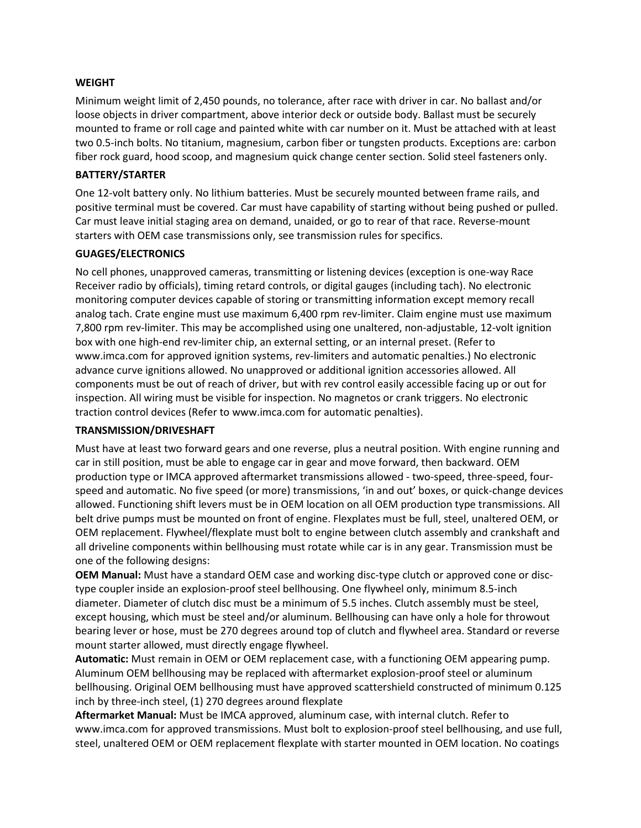#### **WEIGHT**

Minimum weight limit of 2,450 pounds, no tolerance, after race with driver in car. No ballast and/or loose objects in driver compartment, above interior deck or outside body. Ballast must be securely mounted to frame or roll cage and painted white with car number on it. Must be attached with at least two 0.5-inch bolts. No titanium, magnesium, carbon fiber or tungsten products. Exceptions are: carbon fiber rock guard, hood scoop, and magnesium quick change center section. Solid steel fasteners only.

#### **BATTERY/STARTER**

One 12-volt battery only. No lithium batteries. Must be securely mounted between frame rails, and positive terminal must be covered. Car must have capability of starting without being pushed or pulled. Car must leave initial staging area on demand, unaided, or go to rear of that race. Reverse-mount starters with OEM case transmissions only, see transmission rules for specifics.

#### **GUAGES/ELECTRONICS**

No cell phones, unapproved cameras, transmitting or listening devices (exception is one-way Race Receiver radio by officials), timing retard controls, or digital gauges (including tach). No electronic monitoring computer devices capable of storing or transmitting information except memory recall analog tach. Crate engine must use maximum 6,400 rpm rev-limiter. Claim engine must use maximum 7,800 rpm rev-limiter. This may be accomplished using one unaltered, non-adjustable, 12-volt ignition box with one high-end rev-limiter chip, an external setting, or an internal preset. (Refer to www.imca.com for approved ignition systems, rev-limiters and automatic penalties.) No electronic advance curve ignitions allowed. No unapproved or additional ignition accessories allowed. All components must be out of reach of driver, but with rev control easily accessible facing up or out for inspection. All wiring must be visible for inspection. No magnetos or crank triggers. No electronic traction control devices (Refer to www.imca.com for automatic penalties).

#### **TRANSMISSION/DRIVESHAFT**

Must have at least two forward gears and one reverse, plus a neutral position. With engine running and car in still position, must be able to engage car in gear and move forward, then backward. OEM production type or IMCA approved aftermarket transmissions allowed - two-speed, three-speed, fourspeed and automatic. No five speed (or more) transmissions, 'in and out' boxes, or quick-change devices allowed. Functioning shift levers must be in OEM location on all OEM production type transmissions. All belt drive pumps must be mounted on front of engine. Flexplates must be full, steel, unaltered OEM, or OEM replacement. Flywheel/flexplate must bolt to engine between clutch assembly and crankshaft and all driveline components within bellhousing must rotate while car is in any gear. Transmission must be one of the following designs:

**OEM Manual:** Must have a standard OEM case and working disc-type clutch or approved cone or disctype coupler inside an explosion-proof steel bellhousing. One flywheel only, minimum 8.5-inch diameter. Diameter of clutch disc must be a minimum of 5.5 inches. Clutch assembly must be steel, except housing, which must be steel and/or aluminum. Bellhousing can have only a hole for throwout bearing lever or hose, must be 270 degrees around top of clutch and flywheel area. Standard or reverse mount starter allowed, must directly engage flywheel.

**Automatic:** Must remain in OEM or OEM replacement case, with a functioning OEM appearing pump. Aluminum OEM bellhousing may be replaced with aftermarket explosion-proof steel or aluminum bellhousing. Original OEM bellhousing must have approved scattershield constructed of minimum 0.125 inch by three-inch steel, (1) 270 degrees around flexplate

**Aftermarket Manual:** Must be IMCA approved, aluminum case, with internal clutch. Refer to www.imca.com for approved transmissions. Must bolt to explosion-proof steel bellhousing, and use full, steel, unaltered OEM or OEM replacement flexplate with starter mounted in OEM location. No coatings